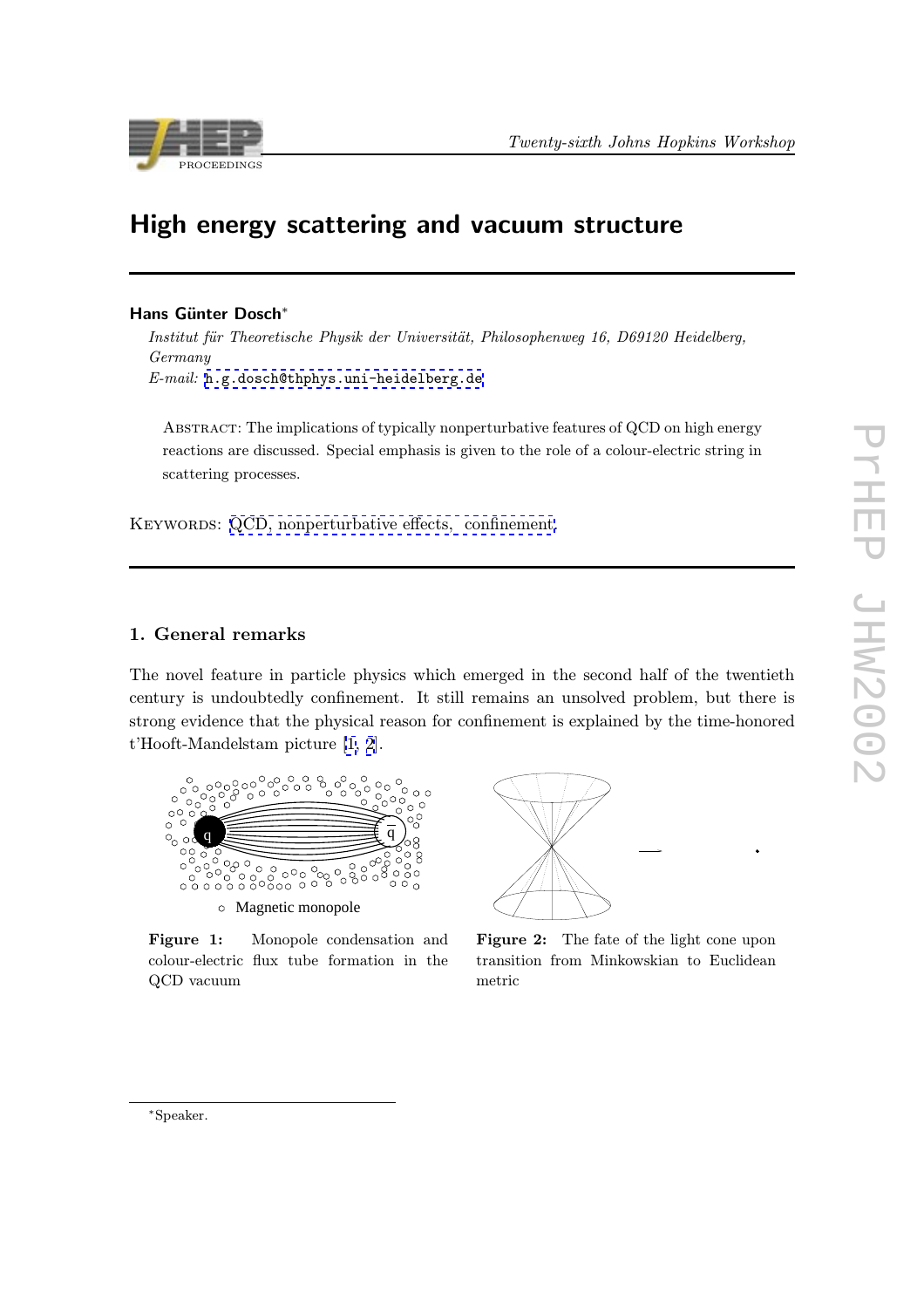<span id="page-0-0"></span>

# High energy scattering and vacuum structure

## Hans Günter Dosch<sup>\*</sup>

Institut für Theoretische Physik der Universität, Philosophenweg 16, D69120 Heidelberg, Germany E-mail: h.g.dosch@thphys.uni-heidelberg.de

ABSTRACT: The implications of typically nonperturbative features of QCD on high energy reacti[ons are discussed. Special emphasis is give](mailto:h.g.dosch@thphys.uni-heidelberg.de)n to the role of a colour-electric string in scattering processes.

KEYWORDS: QCD, nonperturbative effects, confinement.

# 1. General remarks

The novel feature in particle physics which emerged in the second half of the twentieth century is undoubtedly confinement. It still remains an unsolved problem, but there is strong evidence that the physical reason for confinement is explained by the time-honored t'Hooft-Mandelstam picture [1, 2].





Figure 1: Monopole condensation and colour-electric flux tube formation in the QCD vacuum

Figure 2: The fate of the light cone upon transition from Minkowskian to Euclidean metric

 $\bullet$ 

∗Speaker.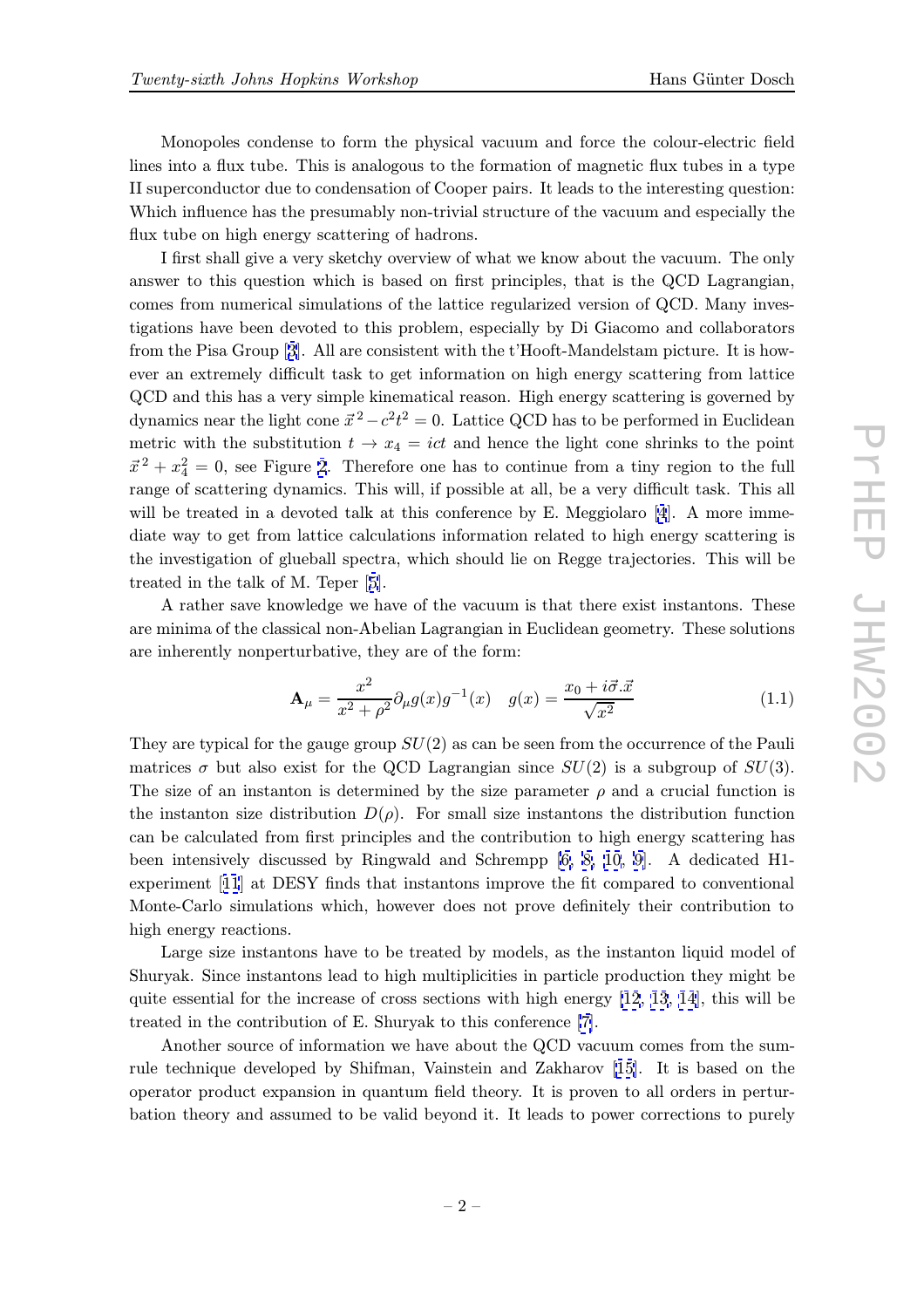Monopoles condense to form the physical vacuum and force the colour-electric field lines into a flux tube. This is analogous to the formation of magnetic flux tubes in a type II superconductor due to condensation of Cooper pairs. It leads to the interesting question: Which influence has the presumably non-trivial structure of the vacuum and especially the flux tube on high energy scattering of hadrons.

I first shall give a very sketchy overview of what we know about the vacuum. The only answer to this question which is based on first principles, that is the QCD Lagrangian, comes from numerical simulations of the lattice regularized version of QCD. Many investigations have been devoted to this problem, especially by Di Giacomo and collaborators from the Pisa Group [3]. All are consistent with the t'Hooft-Mandelstam picture. It is however an extremely difficult task to get information on high energy scattering from lattice QCD and this has a very simple kinematical reason. High energy scattering is governed by dynamics near the lig[ht](#page-16-0) cone  $\vec{x}^2 - c^2 t^2 = 0$ . Lattice QCD has to be performed in Euclidean metric with the substitution  $t \to x_4 = ict$  and hence the light cone shrinks to the point  $\vec{x}^2 + x_4^2 = 0$ , see Figure 2. Therefore one has to continue from a tiny region to the full range of scattering dynamics. This will, if possible at all, be a very difficult task. This all will be treated in a devoted talk at this conference by E. Meggiolaro [4]. A more immediate way to get from lat[ti](#page-0-0)ce calculations information related to high energy scattering is the investigation of glueball spectra, which should lie on Regge trajectories. This will be treated in the talk of M. Teper [5].

A rather save knowledge we have of the vacuum is that there exist [i](#page-16-0)nstantons. These are minima of the classical non-Abelian Lagrangian in Euclidean geometry. These solutions are inherently nonperturbative, [th](#page-16-0)ey are of the form:

$$
\mathbf{A}_{\mu} = \frac{x^2}{x^2 + \rho^2} \partial_{\mu} g(x) g^{-1}(x) \quad g(x) = \frac{x_0 + i \vec{\sigma} . \vec{x}}{\sqrt{x^2}} \tag{1.1}
$$

They are typical for the gauge group  $SU(2)$  as can be seen from the occurrence of the Pauli matrices  $\sigma$  but also exist for the QCD Lagrangian since  $SU(2)$  is a subgroup of  $SU(3)$ . The size of an instanton is determined by the size parameter  $\rho$  and a crucial function is the instanton size distribution  $D(\rho)$ . For small size instantons the distribution function can be calculated from first principles and the contribution to high energy scattering has been intensively discussed by Ringwald and Schrempp [6, 8, 10, 9]. A dedicated H1 experiment [11] at DESY finds that instantons improve the fit compared to conventional Monte-Carlo simulations which, however does not prove definitely their contribution to high energy reactions.

Large si[ze](#page-16-0) instantons have to be treated by models, [as](#page-16-0) [th](#page-16-0)e [instan](#page-16-0)ton liquid model of Shuryak. Since instantons lead to high multiplicities in particle production they might be quite essential for the increase of cross sections with high energy [12, 13, 14], this will be treated in the contribution of E. Shuryak to this conference [7].

Another source of information we have about the QCD vacuum comes from the sumrule technique developed by Shifman, Vainstein and Zakharov [[15\]. It is](#page-16-0) based on the operator product expansion in quantum field theory. It is p[ro](#page-16-0)ven to all orders in perturbation theory and assumed to be valid beyond it. It leads to power corrections to purely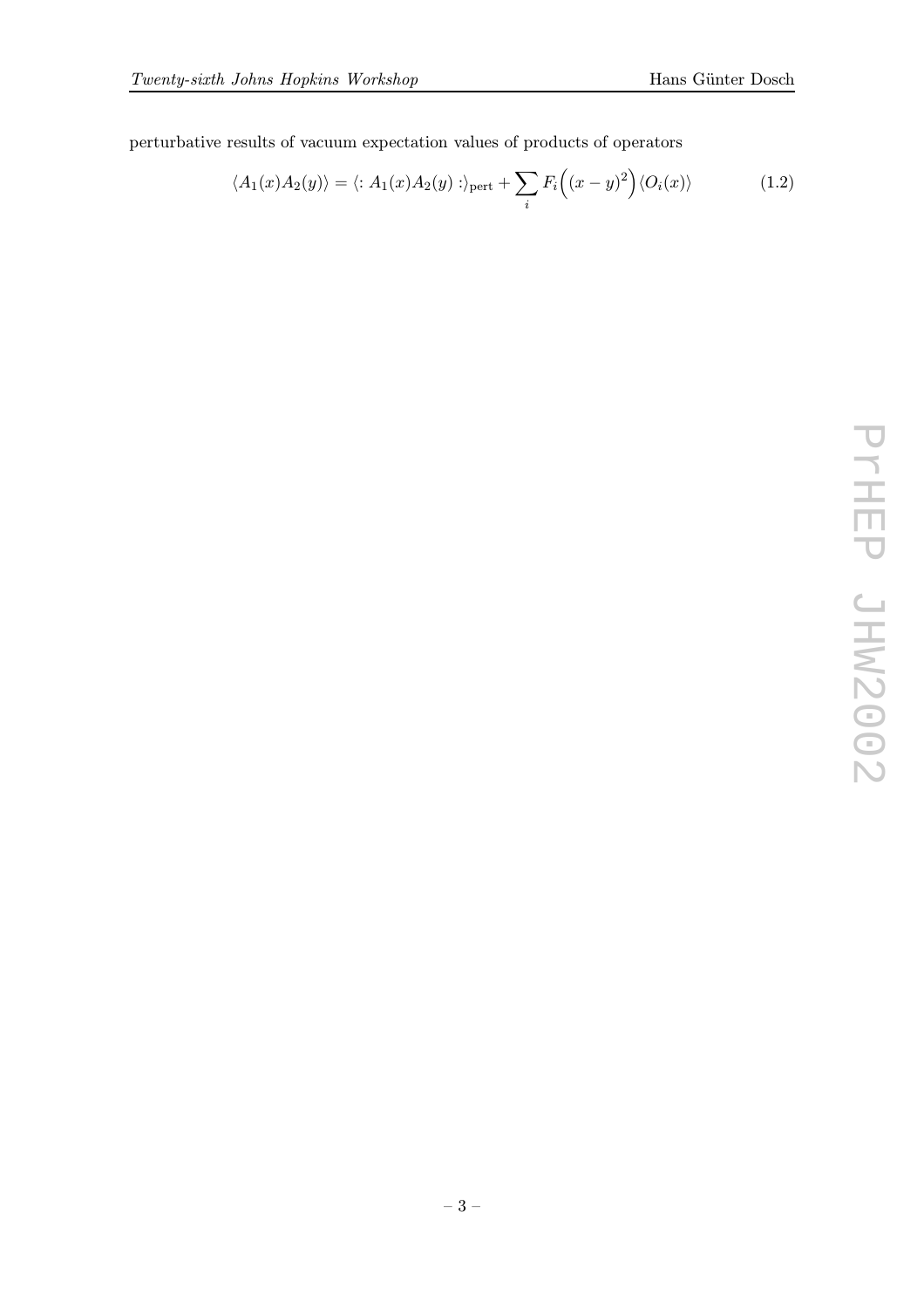perturbative results of vacuum expectation values of products of operators

$$
\langle A_1(x)A_2(y) \rangle = \langle : A_1(x)A_2(y) : \rangle_{\text{pert}} + \sum_i F_i \Big( (x - y)^2 \Big) \langle O_i(x) \rangle \tag{1.2}
$$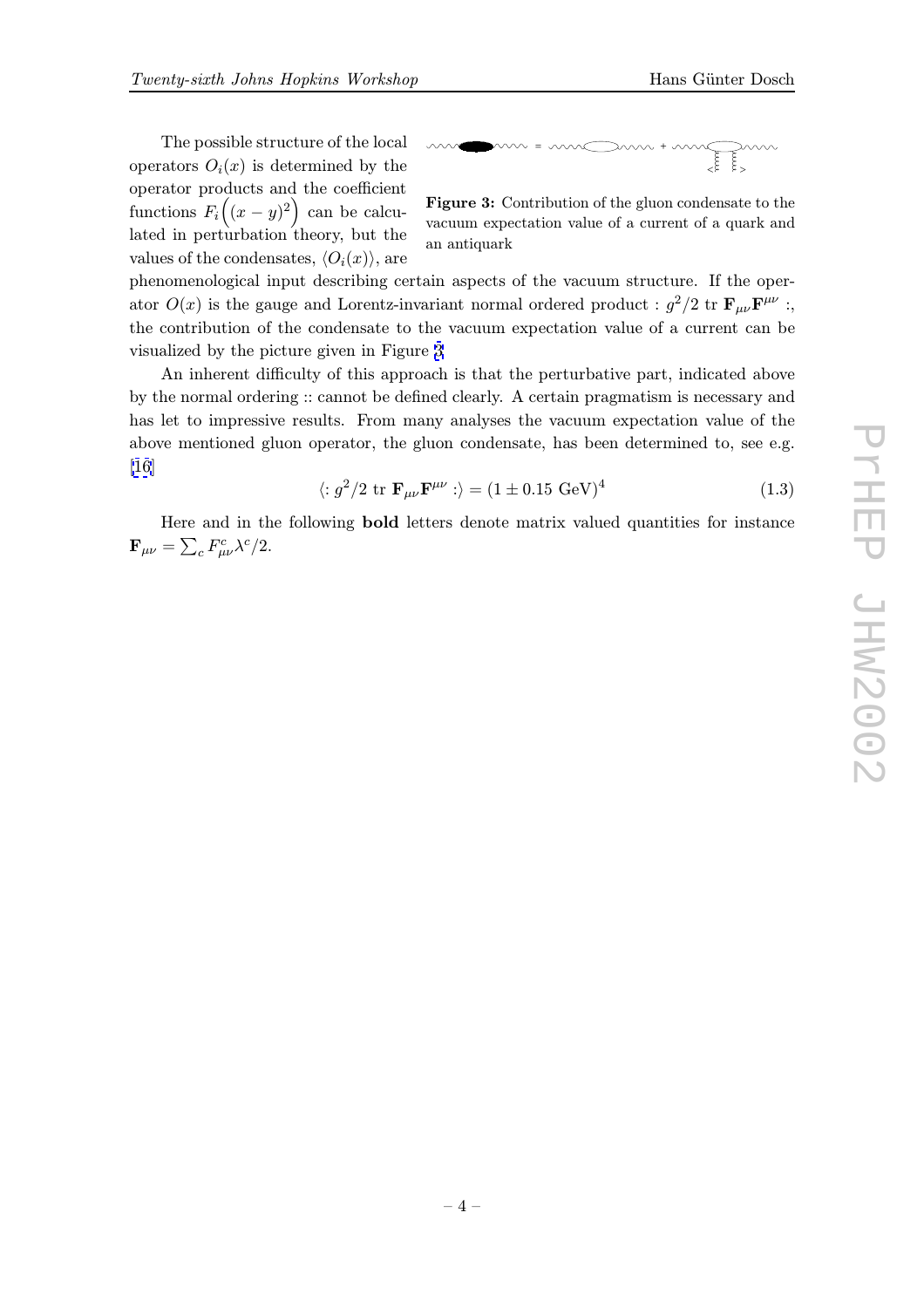$$
m = 1
$$

Figure 3: Contribution of the gluon condensate to the vacuum expectation value of a current of a quark and an antiquark

phenomenological input describing certain aspects of the vacuum structure. If the operator  $O(x)$  is the gauge and Lorentz-invariant normal ordered product :  $g^2/2$  tr  $\mathbf{F}_{\mu\nu}\mathbf{F}^{\mu\nu}$  : the contribution of the condensate to the vacuum expectation value of a current can be visualized by the picture given in Figure 3

An inherent difficulty of this approach is that the perturbative part, indicated above by the normal ordering :: cannot be defined clearly. A certain pragmatism is necessary and has let to impressive results. From many analyses the vacuum expectation value of the above mentioned gluon operator, the gluon condensate, has been determined to, see e.g. [16]

$$
\langle :g^2/2 \text{ tr } \mathbf{F}_{\mu\nu}\mathbf{F}^{\mu\nu} : \rangle = (1 \pm 0.15 \text{ GeV})^4 \qquad (1.3)
$$

Here and in the following bold letters denote matrix valued quantities for instance  $\mathbf{F}_{\mu\nu} = \sum_{c} F^c_{\mu\nu} \lambda^c / 2.$  $\mathbf{F}_{\mu\nu} = \sum_{c} F^c_{\mu\nu} \lambda^c / 2.$  $\mathbf{F}_{\mu\nu} = \sum_{c} F^c_{\mu\nu} \lambda^c / 2.$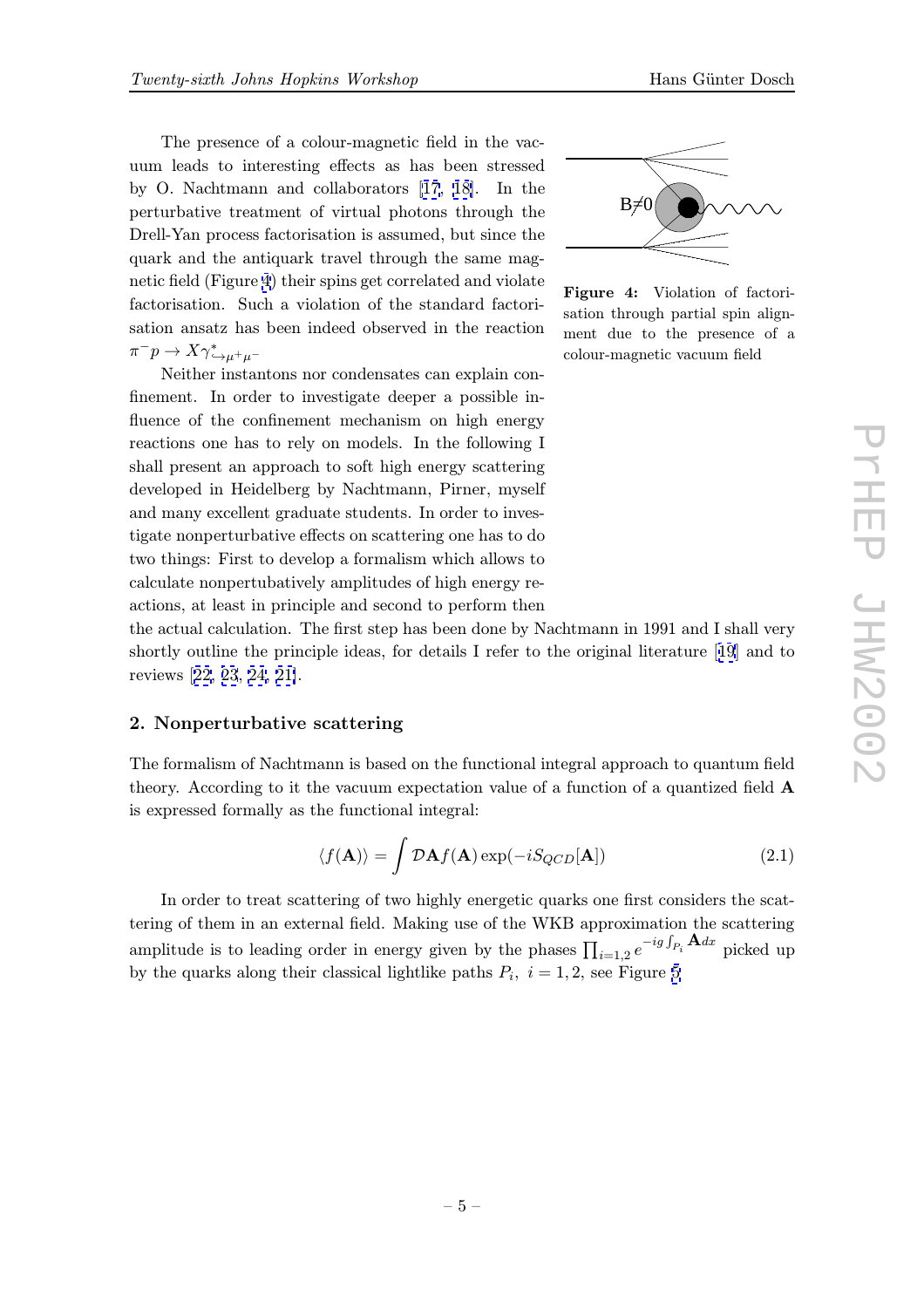The presence of a colour-magnetic field in the vac uum leads to interesting effects as has been stressed by O. Nachtmann and collaborators [17, 18]. In the perturbative treatment of virtual photons through the Drell-Yan process factorisation is assumed, but since the quark and the antiquark travel throug[h t](#page-16-0)h[e s](#page-16-0)ame magnetic field (Figure 4) their spins get correlated and violate factorisation. Such a violation of the standard factorisation ansatz has been indeed observed in the reaction  $\pi^-p\to X\gamma^*_{\hookrightarrow\mu^+\mu^-}$ 

Neither instantons nor condensates can explain confinement. In order to investigate deeper a possible influence of the confinement mechanism on high energy reactions one has to rely on models. In the following I shall present an approach to soft high energy scattering developed in Heidelberg by Nachtmann, Pirner, myself and many excellent graduate students. In order to investigate nonperturbative effects on scattering one has to do two things: First to develop a formalism which allows to calculate nonpertubatively amplitudes of high energy reactions, at least in principle and second to perform then



Figure 4: Violation of factorisation through partial spin alignment due to the presence of a colour-magnetic vacuum field

the actual calculation. The first step has been done by Nachtmann in 1991 and I shall very shortly outline the principle ideas, for details I refer to the original literature [19] and to reviews [22, 23, 24, 21].

#### 2. Nonperturbative scattering

The for[malism](#page-17-0) [of](#page-17-0) [N](#page-17-0)[ach](#page-16-0)tmann is based on the functional integral approach to quantum field theory. According to it the vacuum expectation value of a function of a quantized field A is expressed formally as the functional integral:

$$
\langle f(\mathbf{A}) \rangle = \int \mathcal{D}\mathbf{A} f(\mathbf{A}) \exp(-i S_{QCD}[\mathbf{A}]) \tag{2.1}
$$

In order to treat scattering of two highly energetic quarks one first considers the scattering of them in an external field. Making use of the WKB approximation the scattering amplitude is to leading order in energy given by the phases  $\prod_{i=1,2} e^{-ig \int_{P_i} \mathbf{A} dx}$  picked up by the quarks along their classical lightlike paths  $P_i$ ,  $i = 1, 2$ , see Figure 5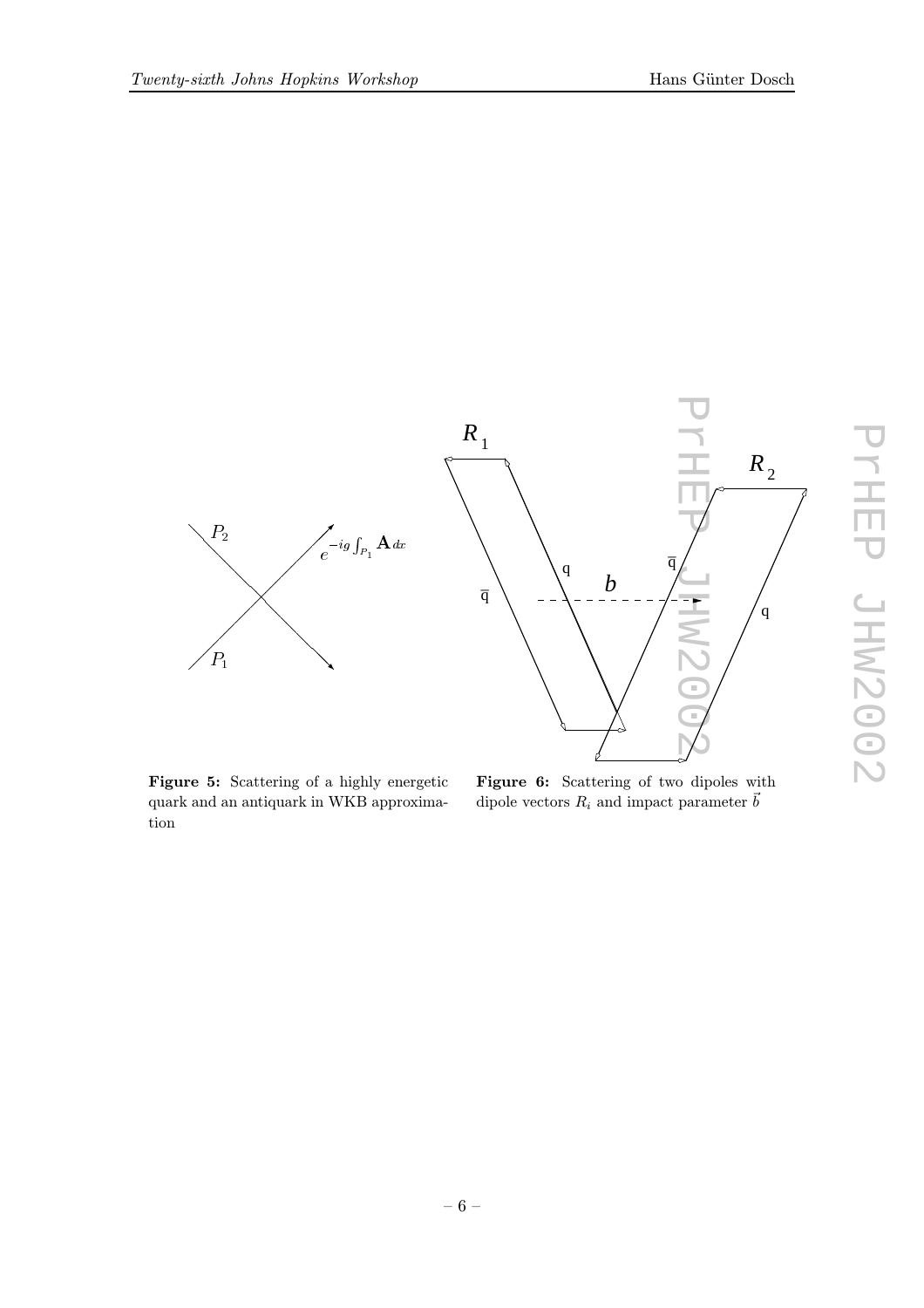<span id="page-5-0"></span>

Figure 5: Scattering of a highly energetic quark and an antiquark in WKB approximation

Figure 6: Scattering of two dipoles with dipole vectors  $R_i$  and impact parameter  $\vec{b}$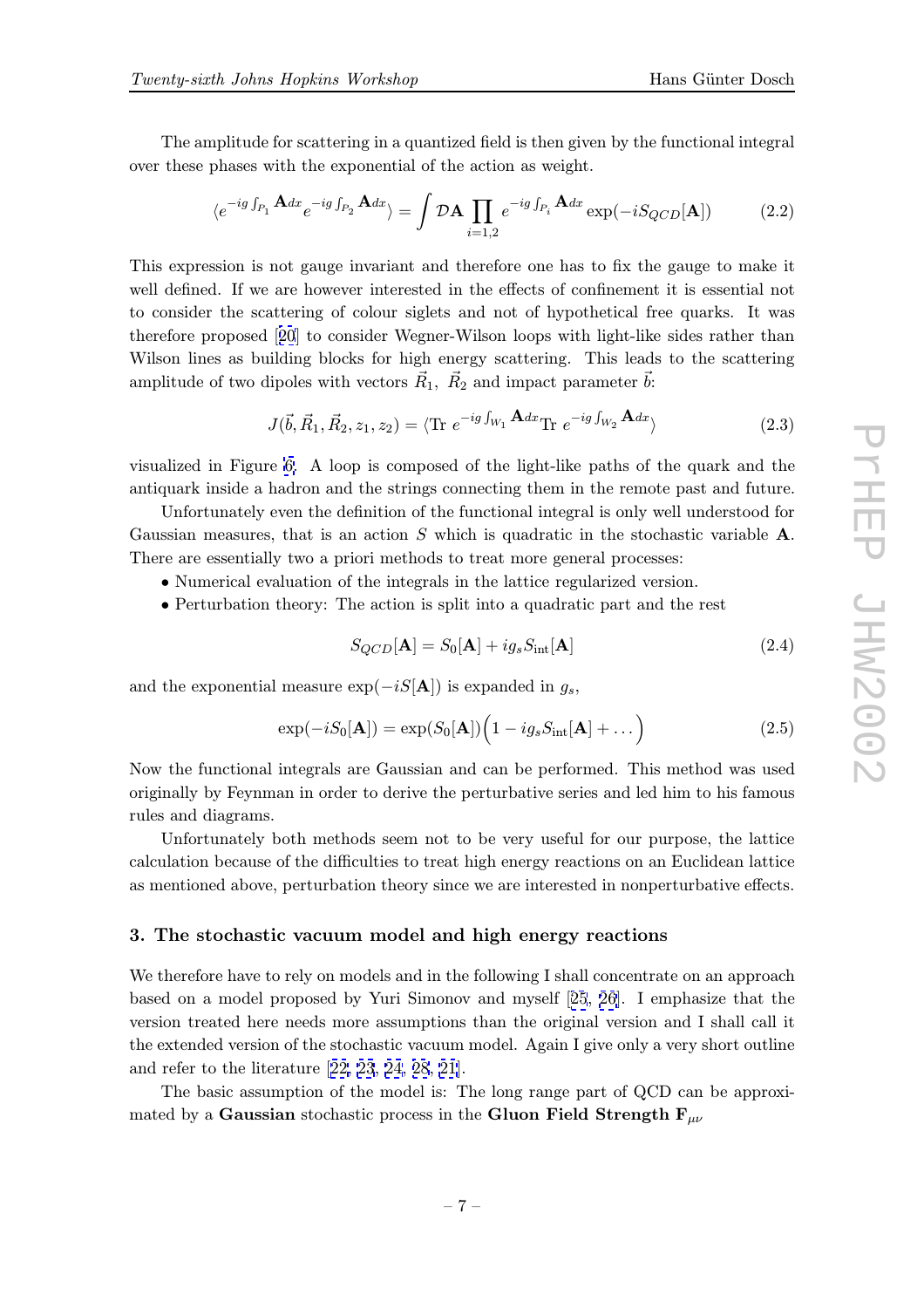<span id="page-6-0"></span>The amplitude for scattering in a quantized field is then given by the functional integral over these phases with the exponential of the action as weight.

$$
\langle e^{-ig\int_{P_1} \mathbf{A} dx} e^{-ig\int_{P_2} \mathbf{A} dx} \rangle = \int \mathcal{D}\mathbf{A} \prod_{i=1,2} e^{-ig\int_{P_i} \mathbf{A} dx} \exp(-i S_{QCD}[\mathbf{A}])
$$
(2.2)

This expression is not gauge invariant and therefore one has to fix the gauge to make it well defined. If we are however interested in the effects of confinement it is essential not to consider the scattering of colour siglets and not of hypothetical free quarks. It was therefore proposed [20] to consider Wegner-Wilson loops with light-like sides rather than Wilson lines as building blocks for high energy scattering. This leads to the scattering amplitude of two dipoles with vectors  $\vec{R}_1$ ,  $\vec{R}_2$  and impact parameter  $\vec{b}$ :

$$
J(\vec{b}, \vec{R}_1, \vec{R}_2, z_1, z_2) = \langle \text{Tr } e^{-ig \int_{W_1} \mathbf{A} dx} \text{Tr } e^{-ig \int_{W_2} \mathbf{A} dx} \rangle \tag{2.3}
$$

visualized in Figure 6. A loop is composed of the light-like paths of the quark and the antiquark inside a hadron and the strings connecting them in the remote past and future.

Unfortunately even the definition of the functional integral is only well understood for Gaussian measures, [th](#page-5-0)at is an action  $S$  which is quadratic in the stochastic variable  $A$ . There are essentially two a priori methods to treat more general processes:

- Numerical evaluation of the integrals in the lattice regularized version.
- Perturbation theory: The action is split into a quadratic part and the rest

$$
S_{QCD}[\mathbf{A}] = S_0[\mathbf{A}] + ig_s S_{\text{int}}[\mathbf{A}] \tag{2.4}
$$

and the exponential measure  $\exp(-iS[A])$  is expanded in  $g_s$ ,

$$
\exp(-iS_0[\mathbf{A}]) = \exp(S_0[\mathbf{A}])\left(1 - ig_s S_{\rm int}[\mathbf{A}] + \dots\right)
$$
\n(2.5)

Now the functional integrals are Gaussian and can be performed. This method was used originally by Feynman in order to derive the perturbative series and led him to his famous rules and diagrams.

Unfortunately both methods seem not to be very useful for our purpose, the lattice calculation because of the difficulties to treat high energy reactions on an Euclidean lattice as mentioned above, perturbation theory since we are interested in nonperturbative effects.

## 3. The stochastic vacuum model and high energy reactions

We therefore have to rely on models and in the following I shall concentrate on an approach based on a model proposed by Yuri Simonov and myself [25, 26]. I emphasize that the version treated here needs more assumptions than the original version and I shall call it the extended version of the stochastic vacuum model. Again I give only a very short outline and refer to the literature [22, 23, 24, 28, 21].

The basic assumption of the model is: The long range [part](#page-17-0) [o](#page-17-0)f QCD can be approximated by a Gaussian stochastic process in the Gluon Field Strength  $F_{\mu\nu}$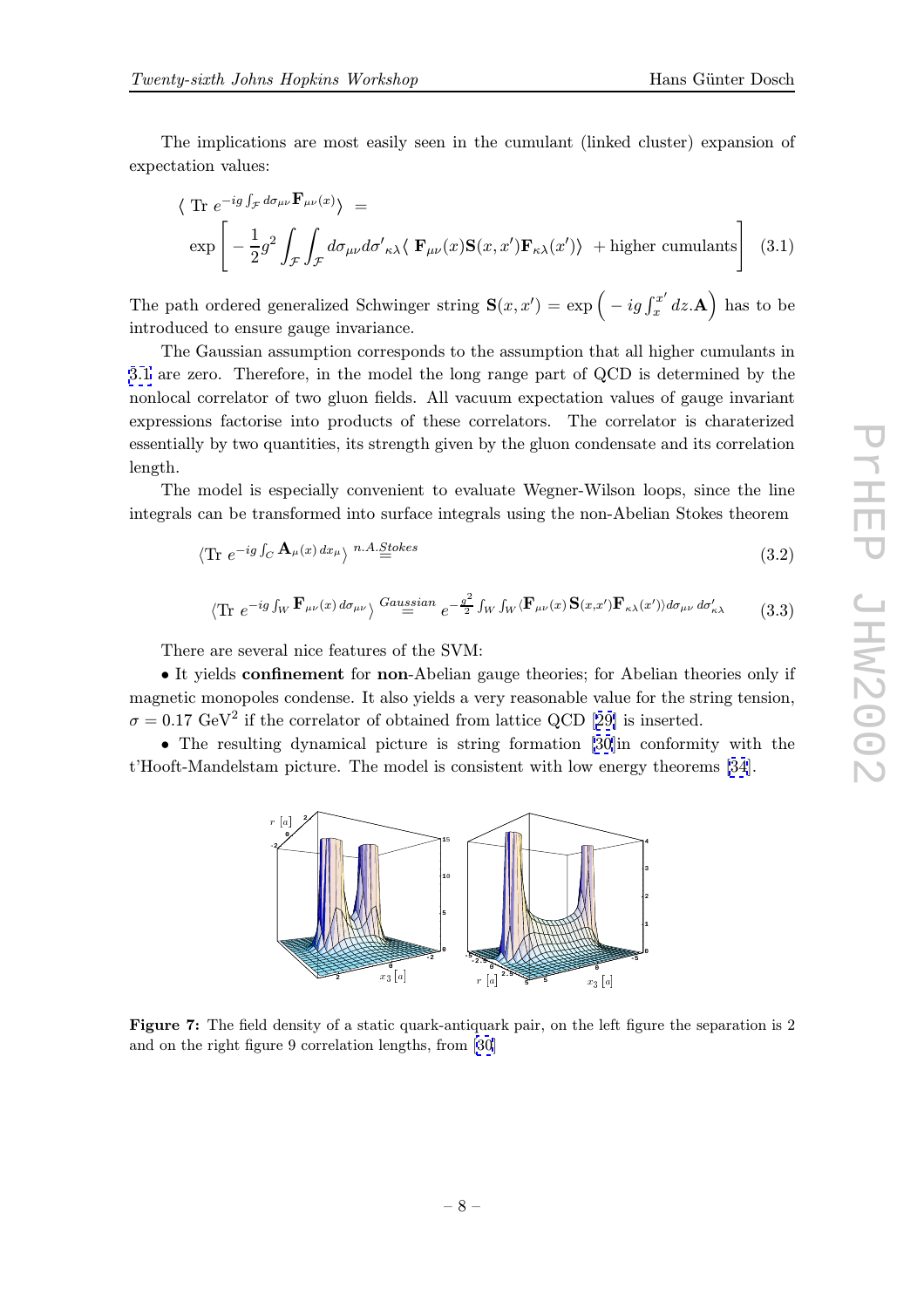expectation values:

$$
\langle \text{Tr } e^{-ig \int_{\mathcal{F}} d\sigma_{\mu\nu} \mathbf{F}_{\mu\nu}(x)} \rangle =
$$
  
\n
$$
\exp \left[ -\frac{1}{2} g^2 \int_{\mathcal{F}} \int_{\mathcal{F}} d\sigma_{\mu\nu} d\sigma'_{\kappa\lambda} \langle \mathbf{F}_{\mu\nu}(x) \mathbf{S}(x, x') \mathbf{F}_{\kappa\lambda}(x') \rangle + \text{higher cumulants} \right] (3.1)
$$

The path ordered generalized Schwinger string  $\mathbf{S}(x, x') = \exp\left(-ig \int_x^{x'} dz \cdot \mathbf{A}\right)$  has to be introduced to ensure gauge invariance.

The Gaussian assumption corresponds to the assumption that all higher cumulants in 3.1 are zero. Therefore, in the model the long range part of QCD is determined by the nonlocal correlator of two gluon fields. All vacuum expectation values of gauge invariant expressions factorise into products of these correlators. The correlator is charaterized essentially by two quantities, its strength given by the gluon condensate and its correlation length.

The model is especially convenient to evaluate Wegner-Wilson loops, since the line integrals can be transformed into surface integrals using the non-Abelian Stokes theorem

$$
\langle \text{Tr } e^{-ig \int_C \mathbf{A}_{\mu}(x) dx_{\mu}} \rangle^{n.A. \underline{Stokes}} \tag{3.2}
$$

$$
\langle \text{Tr } e^{-ig \int_W \mathbf{F}_{\mu\nu}(x) d\sigma_{\mu\nu}} \rangle \stackrel{Gaussian}{=} e^{-\frac{g^2}{2} \int_W \int_W \langle \mathbf{F}_{\mu\nu}(x) \mathbf{S}(x, x') \mathbf{F}_{\kappa\lambda}(x') \rangle d\sigma_{\mu\nu} d\sigma'_{\kappa\lambda}} \tag{3.3}
$$

There are several nice features of the SVM:

• It yields confinement for non-Abelian gauge theories; for Abelian theories only if magnetic monopoles condense. It also yields a very reasonable value for the string tension,  $\sigma = 0.17 \text{ GeV}^2$  if the correlator of obtained from lattice QCD [29] is inserted.

• The resulting dynamical picture is string formation [30]in conformity with the t'Hooft-Mandelstam picture. The model is consistent with low energy theorems [34].



Figure 7: The field density of a static quark-antiquark pair, on the left figure the separation is 2 and on the right figure 9 correlation lengths, from [30]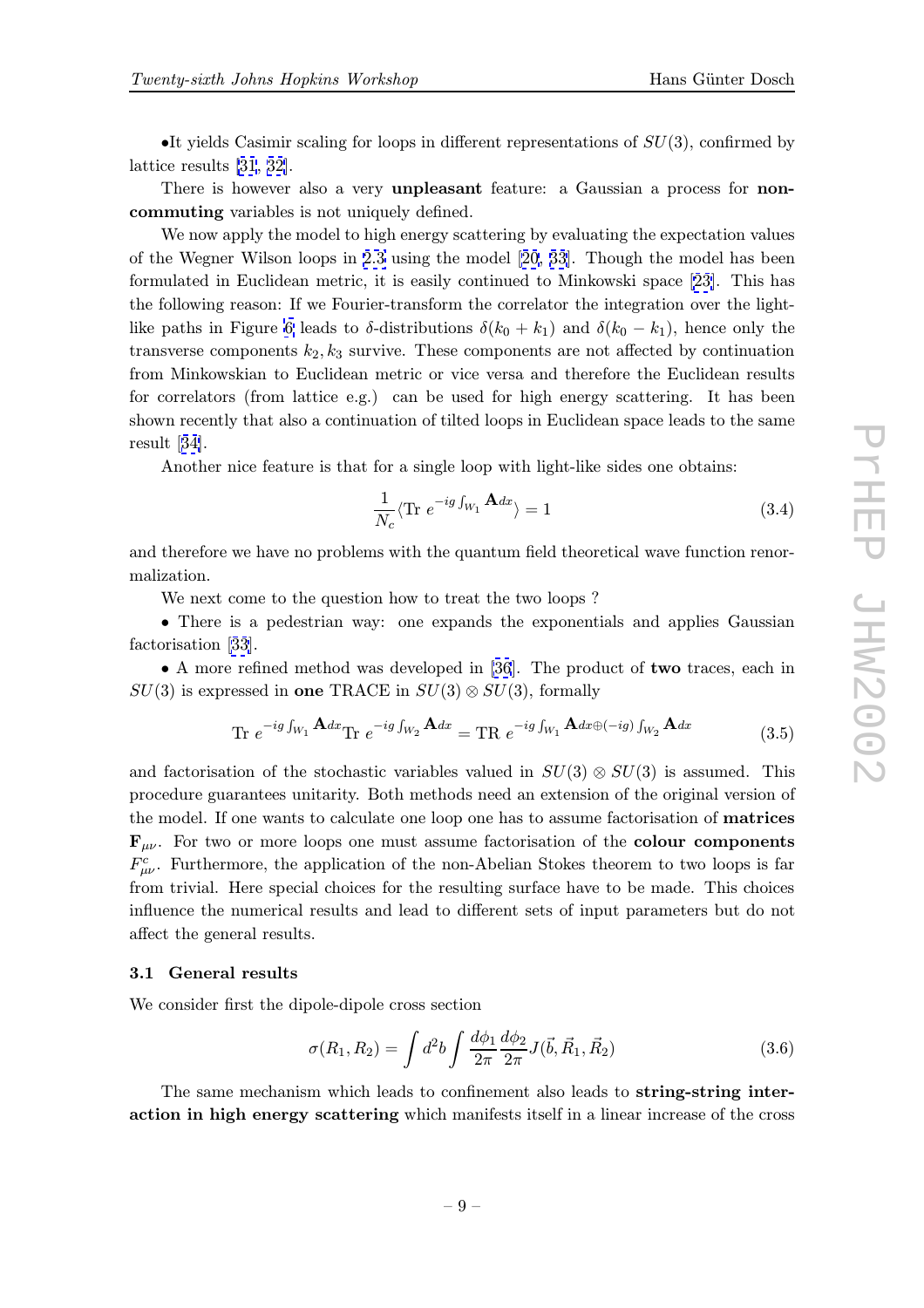<span id="page-8-0"></span>•It yields Casimir scaling for loops in different representations of  $SU(3)$ , confirmed by lattice results [31, 32].

There is however also a very unpleasant feature: a Gaussian a process for noncommuting variables is not uniquely defined.

We now a[pply the](#page-17-0) model to high energy scattering by evaluating the expectation values of the Wegner Wilson loops in 2.3 using the model [20, 33]. Though the model has been formulated in Euclidean metric, it is easily continued to Minkowski space [23]. This has the following reason: If we Fourier-transform the correlator the integration over the lightlike paths in Figure 6 leads to  $\delta$ [-d](#page-6-0)istributions  $\delta(k_0 + k_1)$  $\delta(k_0 + k_1)$  $\delta(k_0 + k_1)$  and  $\delta(k_0 - k_1)$ , hence only the transverse components  $k_2, k_3$  survive. These components are not affected b[y co](#page-17-0)ntinuation from Minkowskian to Euclidean metric or vice versa and therefore the Euclidean results for correlators (fro[m l](#page-5-0)attice e.g.) can be used for high energy scattering. It has been shown recently that also a continuation of tilted loops in Euclidean space leads to the same result [34].

Another nice feature is that for a single loop with light-like sides one obtains:

$$
\frac{1}{N_c} \langle \text{Tr} \ e^{-ig \int_{W_1} \mathbf{A} dx} \rangle = 1 \tag{3.4}
$$

and therefore we have no problems with the quantum field theoretical wave function renormalization.

We next come to the question how to treat the two loops ?

• There is a pedestrian way: one expands the exponentials and applies Gaussian factorisation [33].

• A more refined method was developed in [36]. The product of two traces, each in  $SU(3)$  is expressed in one TRACE in  $SU(3) \otimes SU(3)$ , formally

$$
\text{Tr } e^{-ig \int_{W_1} \mathbf{A} dx} \text{Tr } e^{-ig \int_{W_2} \mathbf{A} dx} = \text{TR } e^{-ig \int_{W_1} \mathbf{A} dx \oplus (-ig) \int_{W_2} \mathbf{A} dx}
$$
(3.5)

and factorisation of the stochastic variables valued in  $SU(3) \otimes SU(3)$  is assumed. This procedure guarantees unitarity. Both methods need an extension of the original version of the model. If one wants to calculate one loop one has to assume factorisation of matrices  $\mathbf{F}_{\mu\nu}$ . For two or more loops one must assume factorisation of the colour components  $F^c_{\mu\nu}$ . Furthermore, the application of the non-Abelian Stokes theorem to two loops is far from trivial. Here special choices for the resulting surface have to be made. This choices influence the numerical results and lead to different sets of input parameters but do not affect the general results.

#### 3.1 General results

We consider first the dipole-dipole cross section

$$
\sigma(R_1, R_2) = \int d^2b \int \frac{d\phi_1}{2\pi} \frac{d\phi_2}{2\pi} J(\vec{b}, \vec{R}_1, \vec{R}_2)
$$
(3.6)

The same mechanism which leads to confinement also leads to string-string interaction in high energy scattering which manifests itself in a linear increase of the cross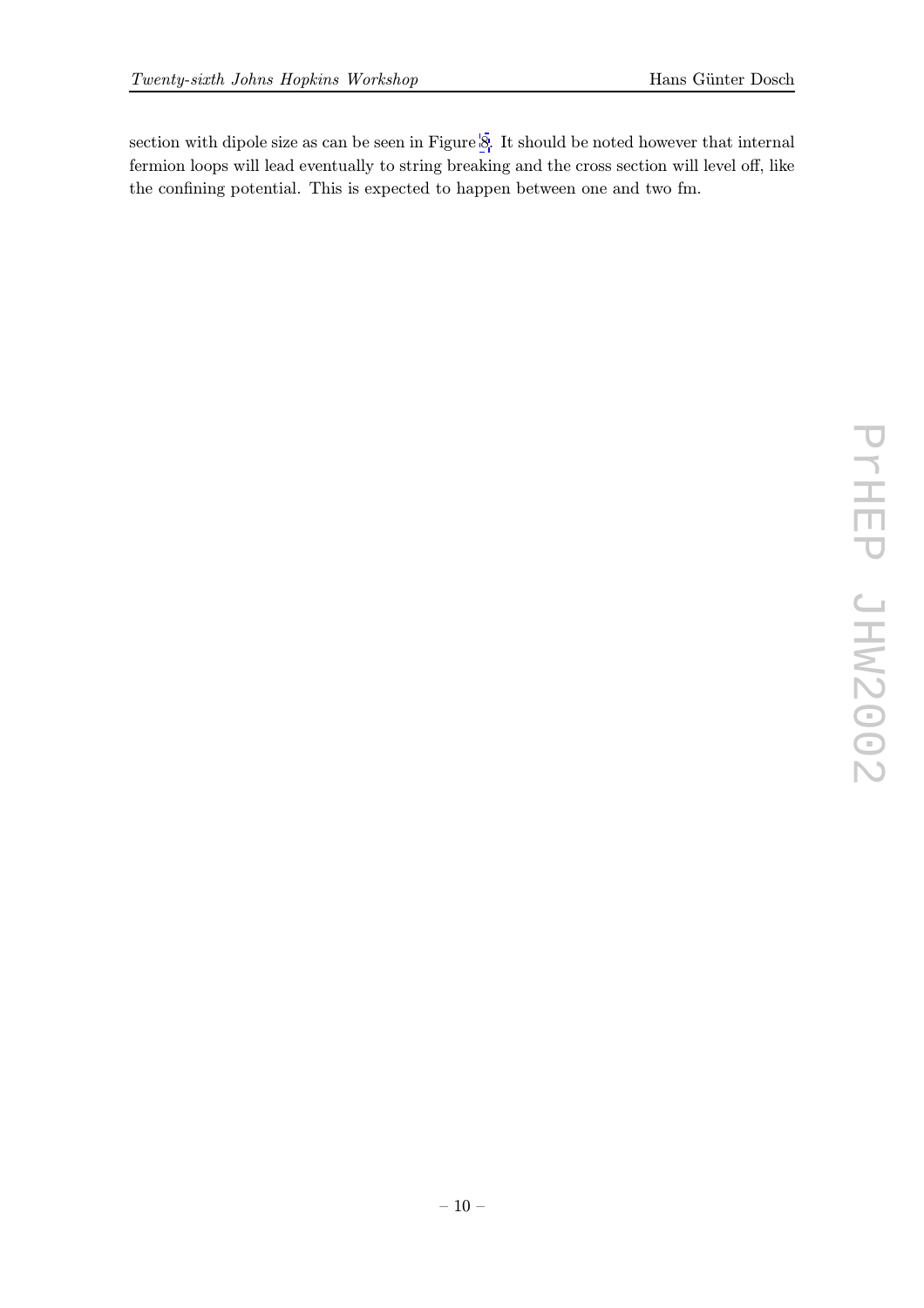section with dipole size as can be seen in Figure 8. It should be noted however that internal fermion loops will lead eventually to string breaking and the cross section will level off, like the confining potential. This is expected to happen between one and two fm.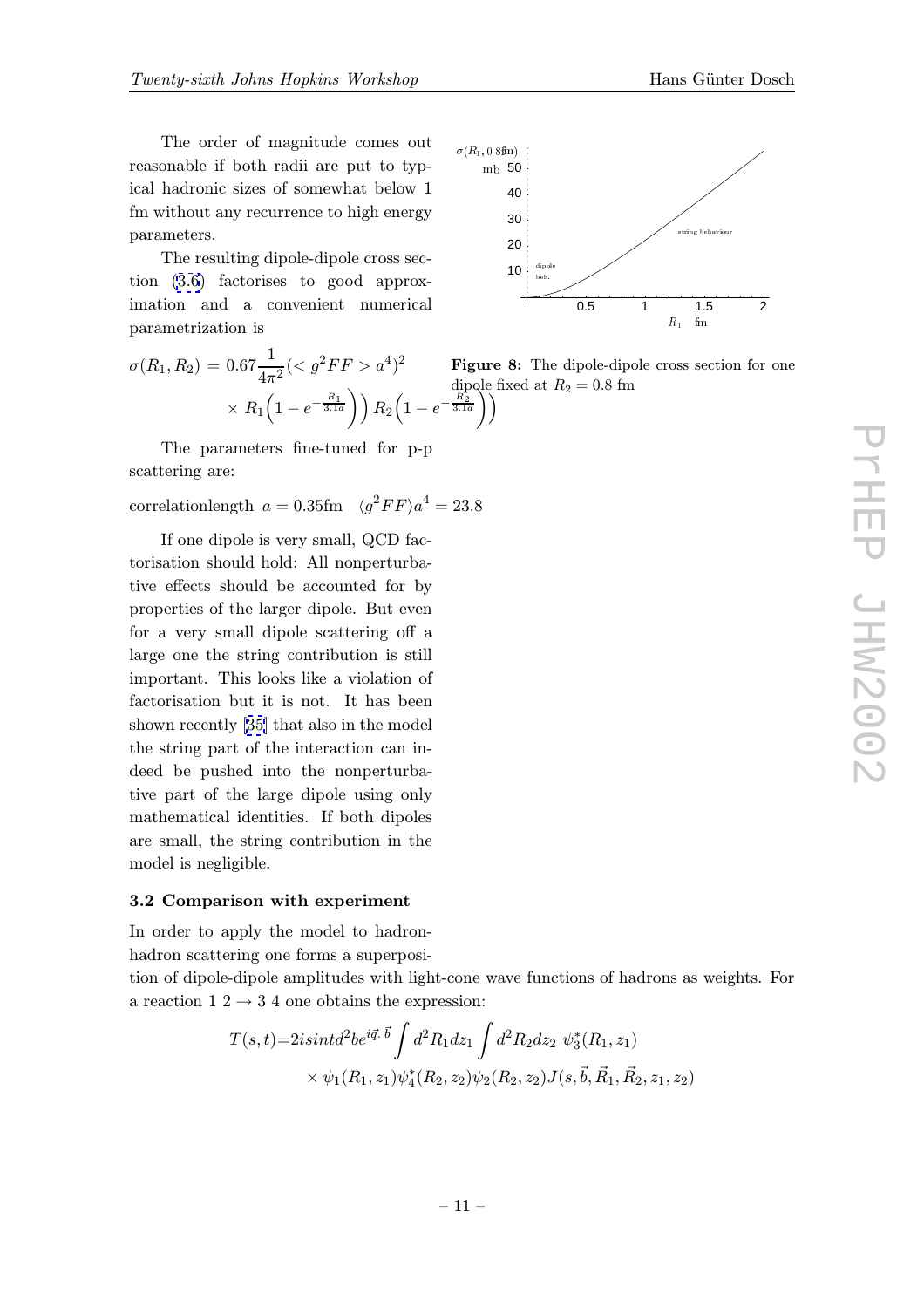The order of magnitude comes out reasonable if both radii are put to typical hadronic sizes of somewhat below 1 fm without any recurrence to high energy parameters.

The resulting dipole-dipole cross section (3.6) factorises to good approximation and a convenient numerical parametrization is

$$
\sigma(R_1, R_2) = 0.67 \frac{1}{4\pi^2} ( a^4)^2
$$
 Fig  
\n
$$
\times R_1 \left(1 - e^{-\frac{R_1}{3.1a}}\right) R_2 \left(1 - e^{-\frac{R_2}{3.1a}}\right)
$$

The parameters fine-tuned for p-p scattering are:

correlationlength  $a = 0.35$ fm  $\langle g^2 F F \rangle a^4 = 23.8$ 

If one dipole is very small, QCD factorisation should hold: All nonperturbative effects should be accounted for by properties of the larger dipole. But even for a very small dipole scattering off a large one the string contribution is still important. This looks like a violation of factorisation but it is not. It has been shown recently [35] that also in the model the string part of the interaction can indeed be pushed into the nonperturbative part of th[e la](#page-17-0)rge dipole using only mathematical identities. If both dipoles are small, the string contribution in the model is negligible.

# 3.2 Comparison with experiment

In order to apply the model to hadron-

hadron scattering one forms a superposi-

tion of dipole-dipole amplitudes with light-cone wave functions of hadrons as weights. For a reaction  $1\ 2 \rightarrow 3\ 4$  one obtains the expression:

$$
T(s,t)=2isint d^2b e^{i\vec{q}\cdot\vec{b}} \int d^2R_1 dz_1 \int d^2R_2 dz_2 \psi_3^*(R_1, z_1)
$$
  
 
$$
\times \psi_1(R_1, z_1)\psi_4^*(R_2, z_2)\psi_2(R_2, z_2)J(s, \vec{b}, \vec{R}_1, \vec{R}_2, z_1, z_2)
$$



ure 8: The dipole-dipole cross section for one dipole fixed at  $R_2 = 0.8$  fm<br> $\frac{R_2}{3.1a}$ )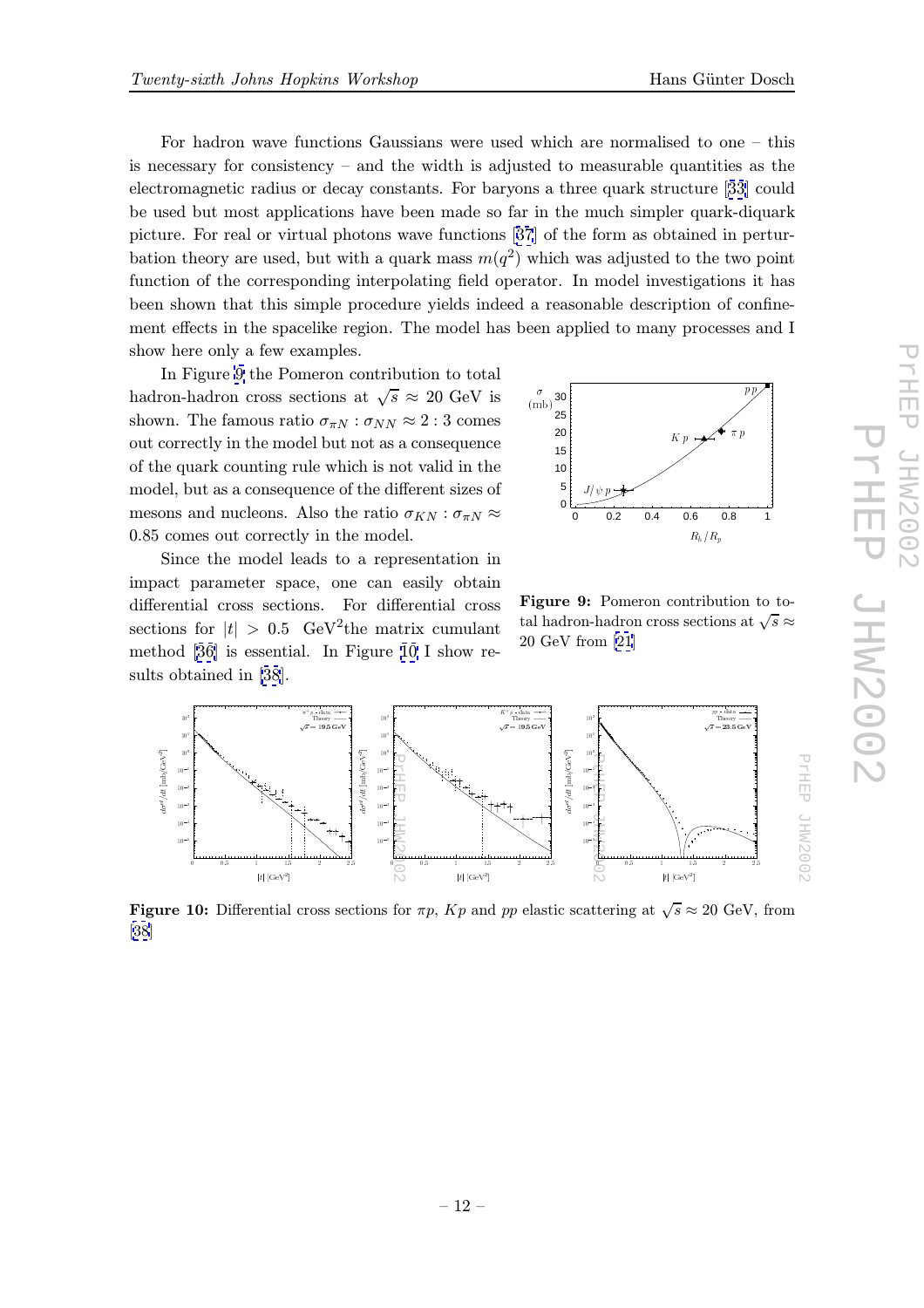For hadron wave functions Gaussians were used which are normalised to one – this is necessary for consistency – and the width is adjusted to measurable quantities as the electromagnetic radius or decay constants. For baryons a three quark structure [33] could be used but most applications have been made so far in the much simpler quark-diquark picture. For real or virtual photons wave functions [37] of the form as obtained in perturbation theory are used, but with a quark mass  $m(q^2)$  which was adjusted to the [two](#page-17-0) point function of the corresponding interpolating field operator. In model investigations it has been shown that this simple procedure yields indee[d a](#page-17-0) reasonable description of confinement effects in the spacelike region. The model has been applied to many processes and I show here only a few examples.

In Figure 9 the Pomeron contribution to total hadron-hadron cross sections at  $\sqrt{s} \approx 20 \text{ GeV}$  is shown. The famous ratio  $\sigma_{\pi N} : \sigma_{NN} \approx 2 : 3$  comes out correctly in the model but not as a consequence of the quark counting rule which is not valid in the model, but as a consequence of the different sizes of mesons and nucleons. Also the ratio  $\sigma_{KN} : \sigma_{\pi N} \approx$ 0.85 comes out correctly in the model.

Since the model leads to a representation in impact parameter space, one can easily obtain differential cross sections. For differential cross sections for  $|t| > 0.5$  GeV<sup>2</sup>the matrix cumulant method [36] is essential. In Figure 10 I show results obtained in [38].



Figure 9: Pomeron contribution to total hadron-hadron cross sections at  $\sqrt{s}\approx$ 20 GeV from [21]



**Figure 10:** Differential cross sections for  $\pi p$ ,  $Kp$  and pp elastic scattering at  $\sqrt{s} \approx 20$  GeV, from [38]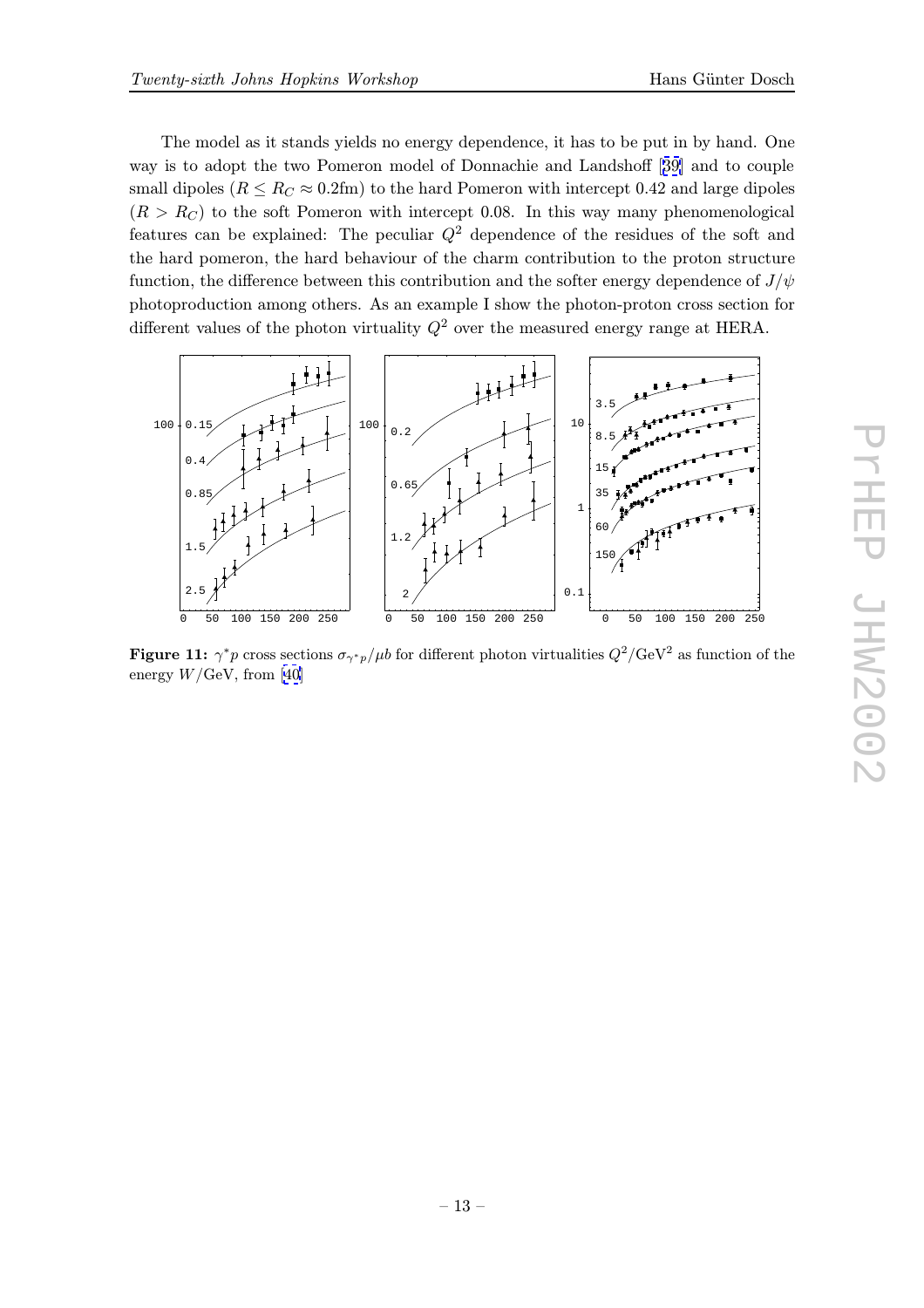The model as it stands yields no energy dependence, it has to be put in by hand. One way is to adopt the two Pomeron model of Donnachie and Landshoff [39] and to couple small dipoles ( $R \leq R_C \approx 0.2$ fm) to the hard Pomeron with intercept 0.42 and large dipoles  $(R>R<sub>C</sub>)$  to the soft Pomeron with intercept 0.08. In this way many phenomenological featur[es](#page-17-0) can be explained: The peculiar  $Q^2$  dependence of the residues of the soft and the hard pomeron, the hard behaviour of the charm contribution to the proton structure function, the difference between this contribution and the softer energy dependence of  $J/\psi$ photoproduction among others. As an example I show the photon-proton cross section for different values of the photon virtuality  $Q^2$  over the measured energy range at HERA.



Figure 11:  $\gamma^* p$  cross sections  $\sigma_{\gamma^* p}/\mu b$  for different photon virtualities  $Q^2/\text{GeV}^2$  as function of the energy  $W/\text{GeV}$ , from [40]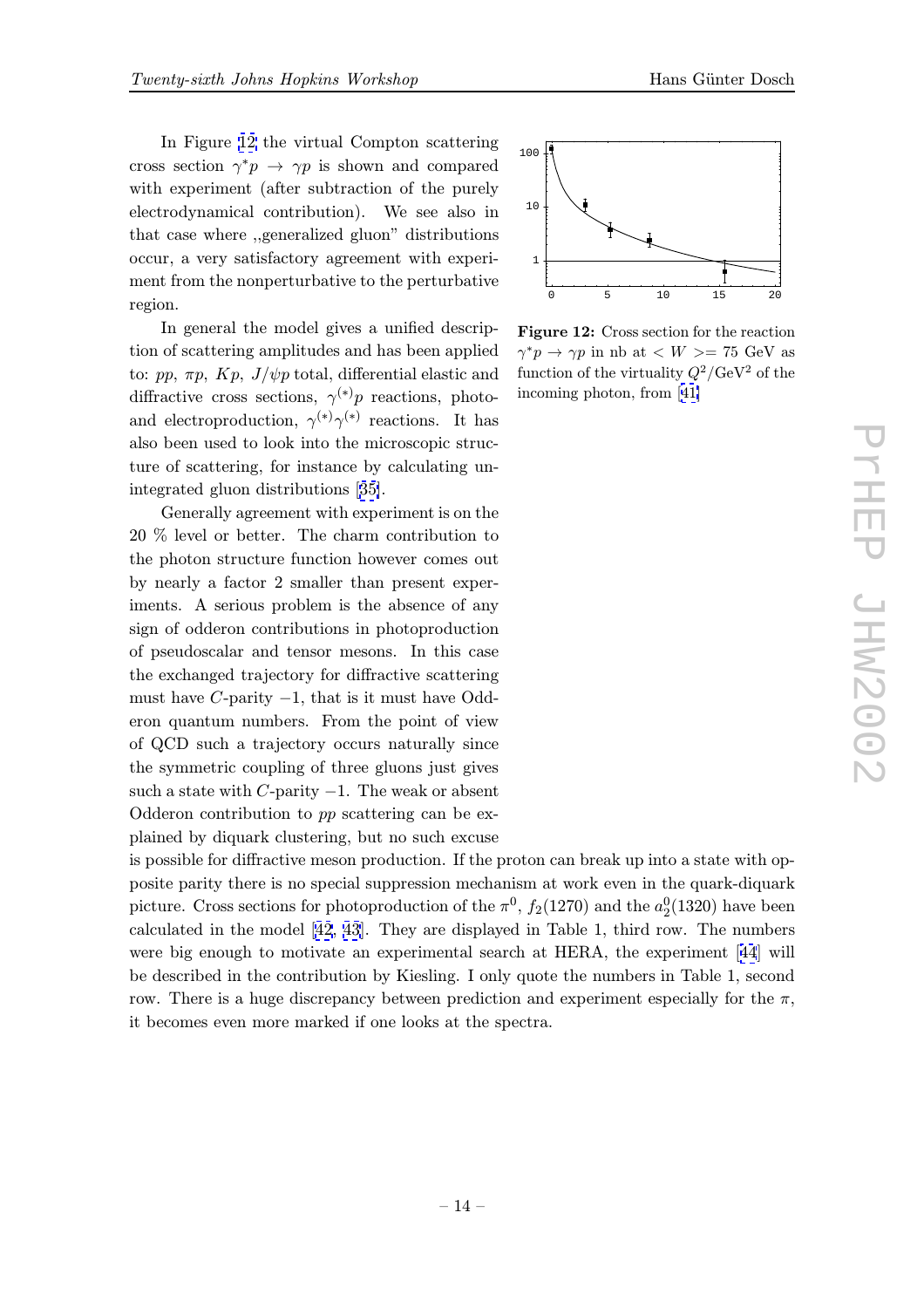In Figure 12 the virtual Compton scattering cross section  $\gamma^* p \to \gamma p$  is shown and compared with experiment (after subtraction of the purely electrodynamical contribution). We see also in that case where ,,generalized gluon" distributions occur, a very satisfactory agreement with experiment from the nonperturbative to the perturbative region.

In general the model gives a unified description of scattering amplitudes and has been applied to: pp,  $\pi p$ ,  $Kp$ ,  $J/\psi p$  total, differential elastic and diffractive cross sections,  $\gamma^{(*)}p$  reactions, photoand electroproduction,  $\gamma^{(*)}\gamma^{(*)}$  reactions. It has also been used to look into the microscopic structure of scattering, for instance by calculating unintegrated gluon distributions [35].

Generally agreement with experiment is on the 20 % level or better. The charm contribution to the photon structure function [how](#page-17-0)ever comes out by nearly a factor 2 smaller than present experiments. A serious problem is the absence of any sign of odderon contributions in photoproduction of pseudoscalar and tensor mesons. In this case the exchanged trajectory for diffractive scattering must have  $C$ -parity  $-1$ , that is it must have Odderon quantum numbers. From the point of view of QCD such a trajectory occurs naturally since the symmetric coupling of three gluons just gives such a state with  $C$ -parity  $-1$ . The weak or absent Odderon contribution to pp scattering can be explained by diquark clustering, but no such excuse

is possible for diffractive meson production. If the proton can break up into a state with opposite parity there is no special suppression mechanism at work even in the quark-diquark picture. Cross sections for photoproduction of the  $\pi^0$ ,  $f_2(1270)$  and the  $a_2^0(1320)$  have been calculated in the model [42, 43]. They are displayed in Table 1, third row. The numbers were big enough to motivate an experimental search at HERA, the experiment [44] will be described in the contribution by Kiesling. I only quote the numbers in Table 1, second row. There is a huge dis[crepanc](#page-18-0)y between prediction and experiment especially for the  $\pi$ , it becomes even more marked if one looks at the spectra.



Figure 12: Cross section for the reaction  $\gamma^*p \to \gamma p$  in nb at  $\langle W \rangle = 75$  GeV as function of the virtuality  $Q^2/\text{GeV}^2$  of the incoming photon, from [41]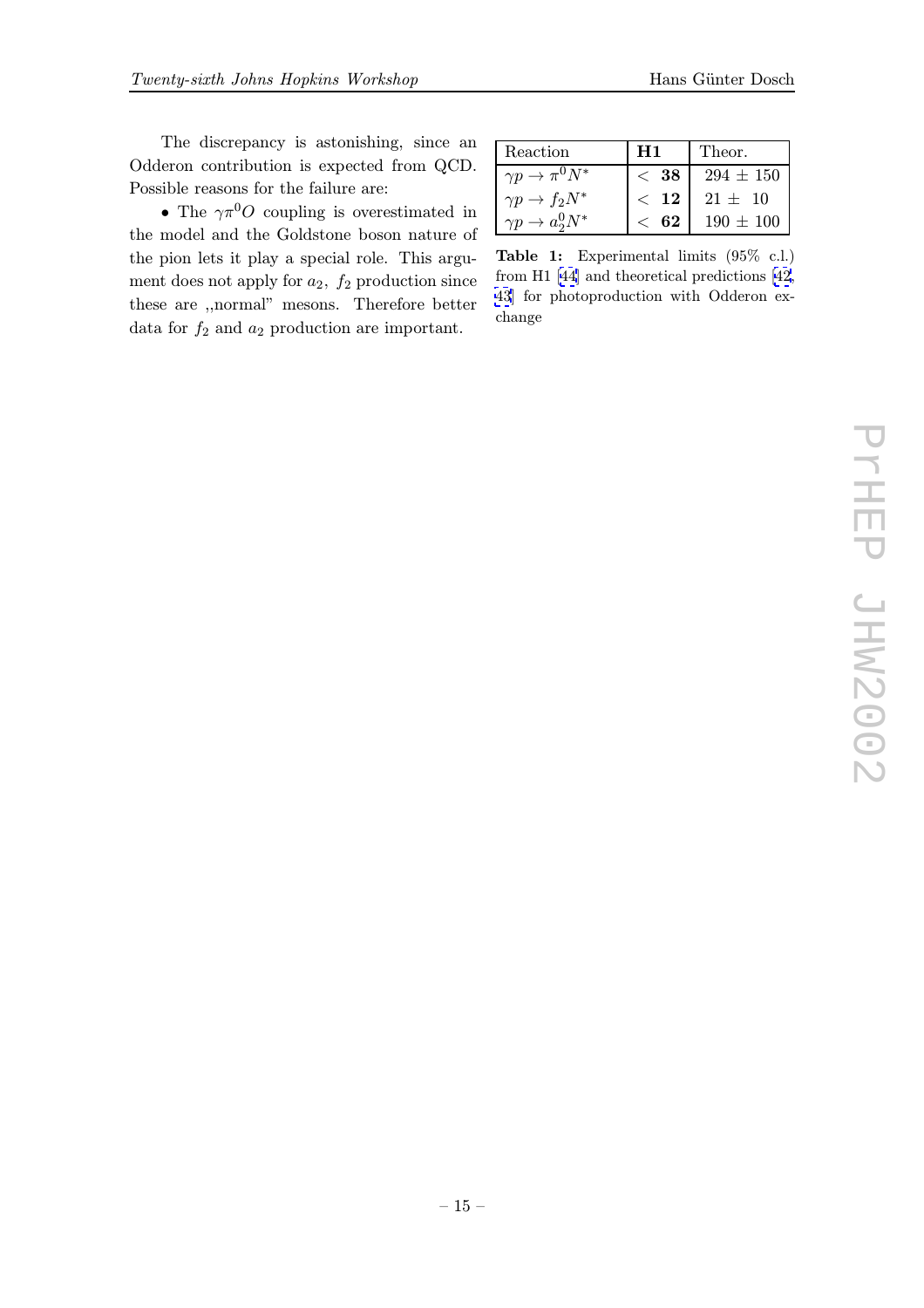The discrepancy is astonishing, since an Odderon contribution is expected from QCD. Possible reasons for the failure are:

• The  $\gamma \pi^0 O$  coupling is overestimated in the model and the Goldstone boson nature of the pion lets it play a special role. This argument does not apply for  $a_2$ ,  $f_2$  production since these are ,,normal" mesons. Therefore better data for  $f_2$  and  $a_2$  production are important.

| Reaction                 | H1        | Theor.        |
|--------------------------|-----------|---------------|
| $\gamma p \to \pi^0 N^*$ | $\,<\,38$ | $294 \pm 150$ |
| $\gamma p \to f_2 N^*$   | $<$ 12    | $21 \pm 10$   |
| $\gamma p \to a_2^0 N^*$ | $<\,62$   | $190 \pm 100$ |

Table 1: Experimental limits (95% c.l.) from H1 [44] and theoretical predictions [42, 43] for photoproduction with Odderon exchange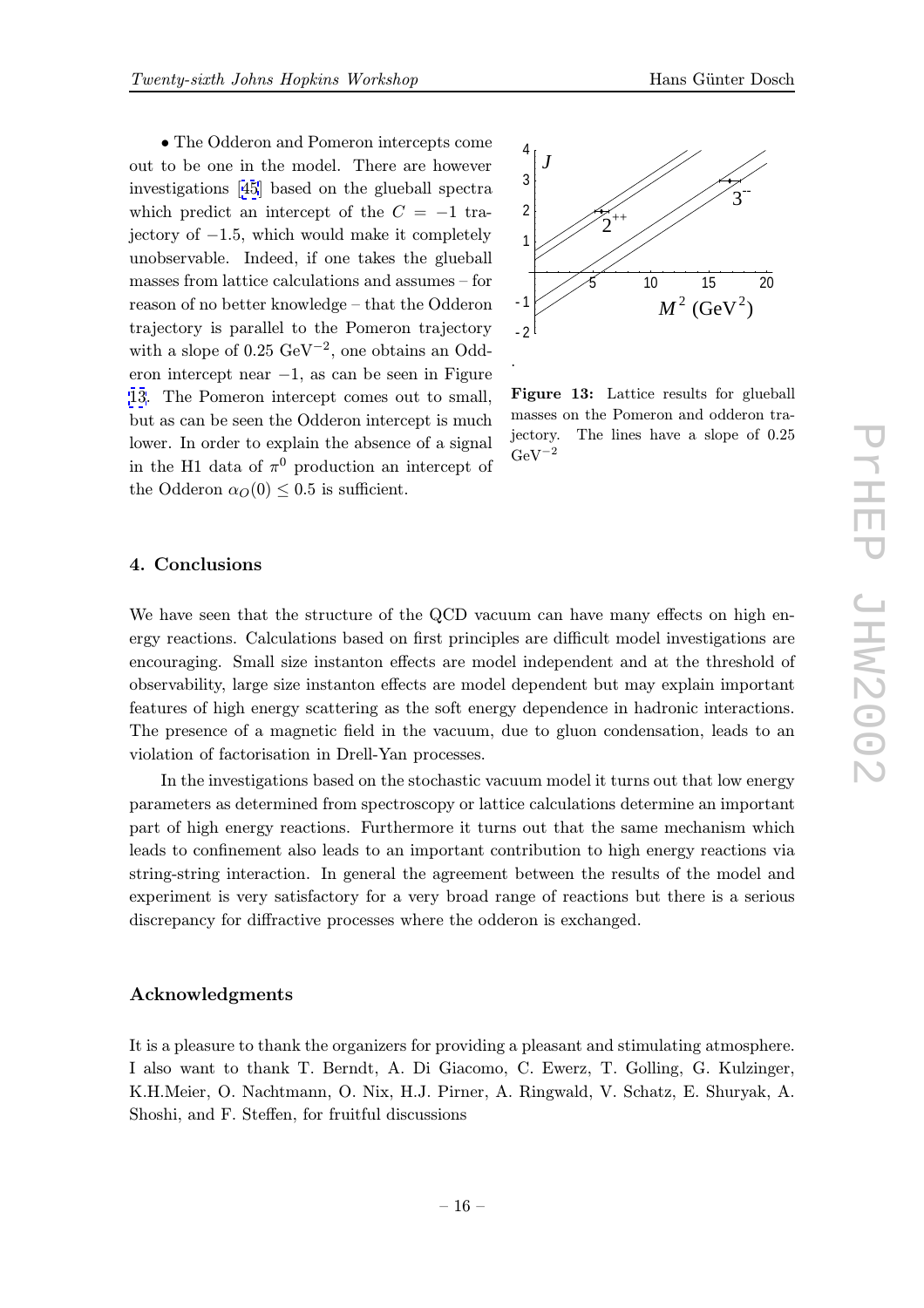• The Odderon and Pomeron intercepts come out to be one in the model. There are however investigations [45] based on the glueball spectra which predict an intercept of the  $C = -1$  trajectory of  $-1.5$ , which would make it completely unobservable. [In](#page-18-0)deed, if one takes the glueball masses from lattice calculations and assumes – for reason of no better knowledge – that the Odderon trajectory is parallel to the Pomeron trajectory with a slope of  $0.25 \text{ GeV}^{-2}$ , one obtains an Odderon intercept near −1, as can be seen in Figure 13. The Pomeron intercept comes out to small, but as can be seen the Odderon intercept is much lower. In order to explain the absence of a signal in the H1 data of  $\pi^0$  production an intercept of the Odderon  $\alpha_O(0) \leq 0.5$  is sufficient.



Figure 13: Lattice results for glueball masses on the Pomeron and odderon trajectory. The lines have a slope of 0.25  $GeV^{-2}$ 

## 4. Conclusions

We have seen that the structure of the QCD vacuum can have many effects on high energy reactions. Calculations based on first principles are difficult model investigations are encouraging. Small size instanton effects are model independent and at the threshold of observability, large size instanton effects are model dependent but may explain important features of high energy scattering as the soft energy dependence in hadronic interactions. The presence of a magnetic field in the vacuum, due to gluon condensation, leads to an violation of factorisation in Drell-Yan processes.

.

In the investigations based on the stochastic vacuum model it turns out that low energy parameters as determined from spectroscopy or lattice calculations determine an important part of high energy reactions. Furthermore it turns out that the same mechanism which leads to confinement also leads to an important contribution to high energy reactions via string-string interaction. In general the agreement between the results of the model and experiment is very satisfactory for a very broad range of reactions but there is a serious discrepancy for diffractive processes where the odderon is exchanged.

#### Acknowledgments

It is a pleasure to thank the organizers for providing a pleasant and stimulating atmosphere. I also want to thank T. Berndt, A. Di Giacomo, C. Ewerz, T. Golling, G. Kulzinger, K.H.Meier, O. Nachtmann, O. Nix, H.J. Pirner, A. Ringwald, V. Schatz, E. Shuryak, A. Shoshi, and F. Steffen, for fruitful discussions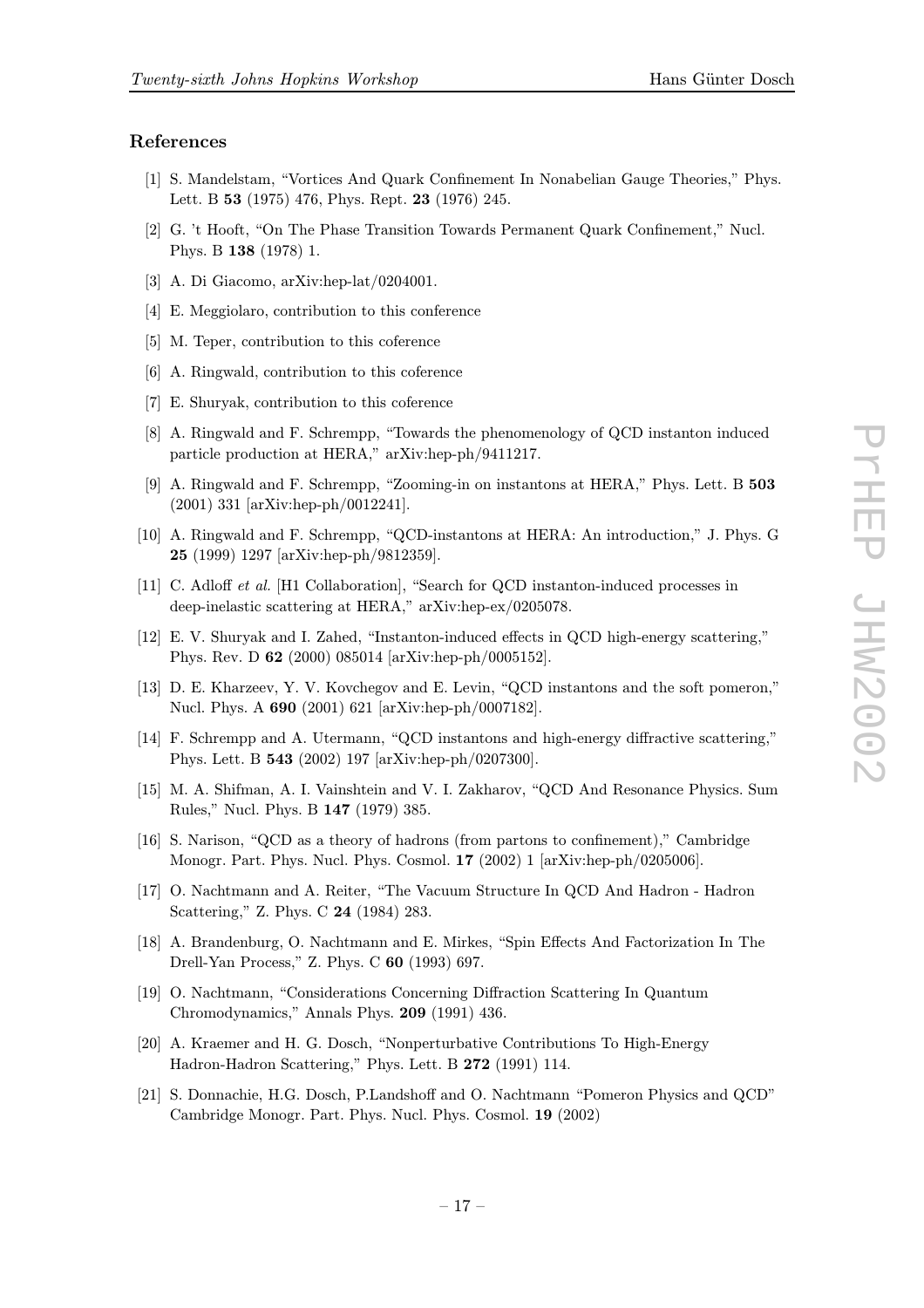#### <span id="page-16-0"></span>References

- [1] S. Mandelstam, "Vortices And Quark Confinement In Nonabelian Gauge Theories," Phys. Lett. B 53 (1975) 476, Phys. Rept. 23 (1976) 245.
- [2] G. 't Hooft, "On The Phase Transition Towards Permanent Quark Confinement," Nucl. Phys. B 138 (1978) 1.
- [3] A. Di Giacomo, arXiv:hep-lat/0204001.
- [4] E. Meggiolaro, contribution to this conference
- [5] M. Teper, contribution to this coference
- [6] A. Ringwald, contribution to this coference
- [7] E. Shuryak, contribution to this coference
- [8] A. Ringwald and F. Schrempp, "Towards the phenomenology of QCD instanton induced particle production at HERA," arXiv:hep-ph/9411217.
- [9] A. Ringwald and F. Schrempp, "Zooming-in on instantons at HERA," Phys. Lett. B 503 (2001) 331 [arXiv:hep-ph/0012241].
- [10] A. Ringwald and F. Schrempp, "QCD-instantons at HERA: An introduction," J. Phys. G 25 (1999) 1297 [arXiv:hep-ph/9812359].
- [11] C. Adloff et al. [H1 Collaboration], "Search for QCD instanton-induced processes in deep-inelastic scattering at HERA," arXiv:hep-ex/0205078.
- [12] E. V. Shuryak and I. Zahed, "Instanton-induced effects in QCD high-energy scattering," Phys. Rev. D 62 (2000) 085014 [arXiv:hep-ph/0005152].
- [13] D. E. Kharzeev, Y. V. Kovchegov and E. Levin, "QCD instantons and the soft pomeron," Nucl. Phys. A 690 (2001) 621 [arXiv:hep-ph/0007182].
- [14] F. Schrempp and A. Utermann, "QCD instantons and high-energy diffractive scattering," Phys. Lett. B 543 (2002) 197 [arXiv:hep-ph/0207300].
- [15] M. A. Shifman, A. I. Vainshtein and V. I. Zakharov, "QCD And Resonance Physics. Sum Rules," Nucl. Phys. B 147 (1979) 385.
- [16] S. Narison, "QCD as a theory of hadrons (from partons to confinement)," Cambridge Monogr. Part. Phys. Nucl. Phys. Cosmol. 17 (2002) 1 [arXiv:hep-ph/0205006].
- [17] O. Nachtmann and A. Reiter, "The Vacuum Structure In QCD And Hadron Hadron Scattering," Z. Phys. C 24 (1984) 283.
- [18] A. Brandenburg, O. Nachtmann and E. Mirkes, "Spin Effects And Factorization In The Drell-Yan Process," Z. Phys. C 60 (1993) 697.
- [19] O. Nachtmann, "Considerations Concerning Diffraction Scattering In Quantum Chromodynamics," Annals Phys. 209 (1991) 436.
- [20] A. Kraemer and H. G. Dosch, "Nonperturbative Contributions To High-Energy Hadron-Hadron Scattering," Phys. Lett. B 272 (1991) 114.
- [21] S. Donnachie, H.G. Dosch, P.Landshoff and O. Nachtmann "Pomeron Physics and QCD" Cambridge Monogr. Part. Phys. Nucl. Phys. Cosmol. 19 (2002)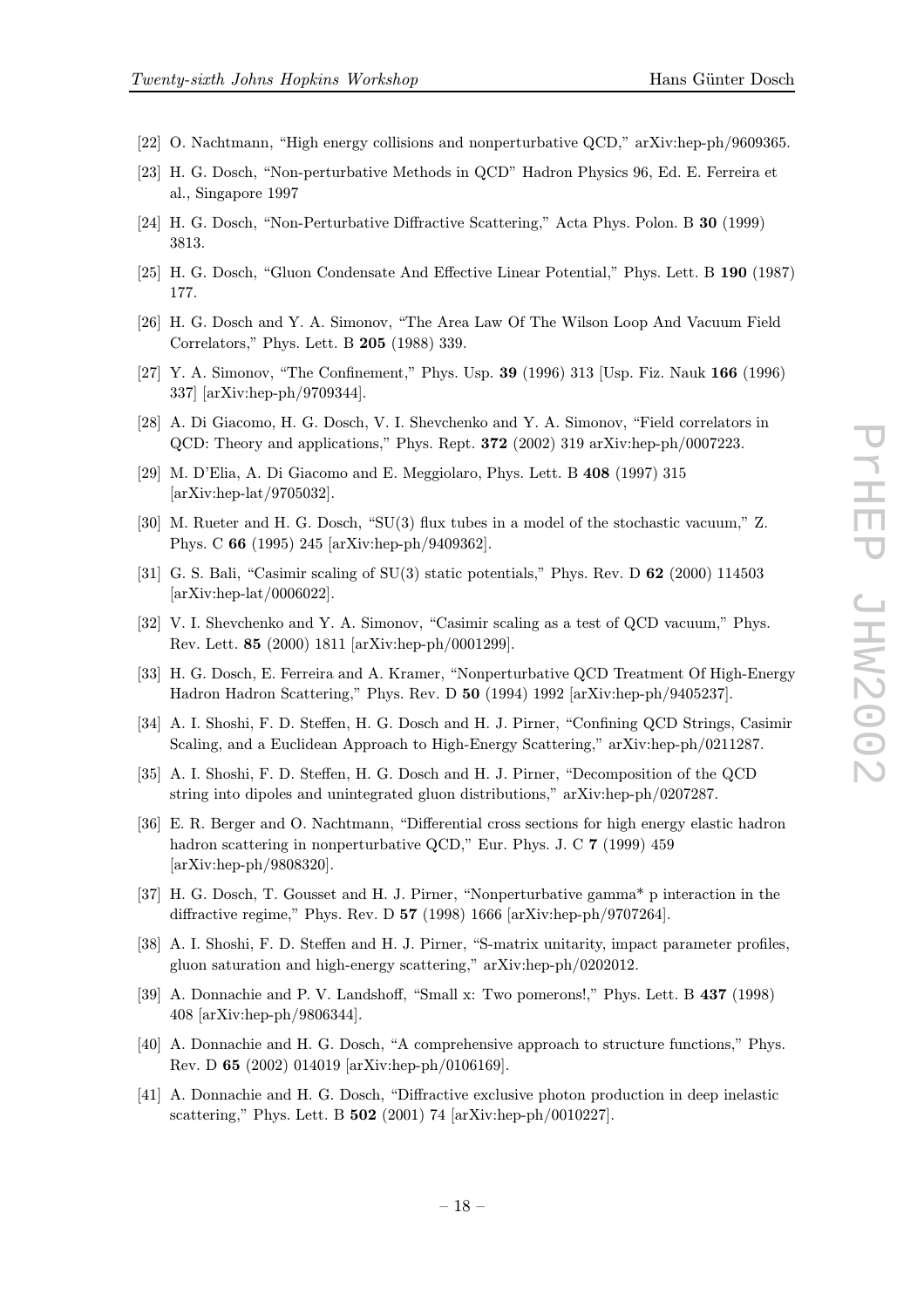- <span id="page-17-0"></span>[22] O. Nachtmann, "High energy collisions and nonperturbative QCD," arXiv:hep-ph/9609365.
- [23] H. G. Dosch, "Non-perturbative Methods in QCD" Hadron Physics 96, Ed. E. Ferreira et al., Singapore 1997
- [24] H. G. Dosch, "Non-Perturbative Diffractive Scattering," Acta Phys. Polon. B 30 (1999) 3813.
- [25] H. G. Dosch, "Gluon Condensate And Effective Linear Potential," Phys. Lett. B 190 (1987) 177.
- [26] H. G. Dosch and Y. A. Simonov, "The Area Law Of The Wilson Loop And Vacuum Field Correlators," Phys. Lett. B 205 (1988) 339.
- [27] Y. A. Simonov, "The Confinement," Phys. Usp. 39 (1996) 313 [Usp. Fiz. Nauk 166 (1996) 337] [arXiv:hep-ph/9709344].
- [28] A. Di Giacomo, H. G. Dosch, V. I. Shevchenko and Y. A. Simonov, "Field correlators in QCD: Theory and applications," Phys. Rept. 372 (2002) 319 arXiv:hep-ph/0007223.
- [29] M. D'Elia, A. Di Giacomo and E. Meggiolaro, Phys. Lett. B 408 (1997) 315 [arXiv:hep-lat/9705032].
- [30] M. Rueter and H. G. Dosch, "SU(3) flux tubes in a model of the stochastic vacuum," Z. Phys. C 66 (1995) 245 [arXiv:hep-ph/9409362].
- [31] G. S. Bali, "Casimir scaling of SU(3) static potentials," Phys. Rev. D 62 (2000) 114503 [arXiv:hep-lat/0006022].
- [32] V. I. Shevchenko and Y. A. Simonov, "Casimir scaling as a test of QCD vacuum," Phys. Rev. Lett. 85 (2000) 1811 [arXiv:hep-ph/0001299].
- [33] H. G. Dosch, E. Ferreira and A. Kramer, "Nonperturbative QCD Treatment Of High-Energy Hadron Hadron Scattering," Phys. Rev. D 50 (1994) 1992 [arXiv:hep-ph/9405237].
- [34] A. I. Shoshi, F. D. Steffen, H. G. Dosch and H. J. Pirner, "Confining QCD Strings, Casimir Scaling, and a Euclidean Approach to High-Energy Scattering," arXiv:hep-ph/0211287.
- [35] A. I. Shoshi, F. D. Steffen, H. G. Dosch and H. J. Pirner, "Decomposition of the QCD string into dipoles and unintegrated gluon distributions," arXiv:hep-ph/0207287.
- [36] E. R. Berger and O. Nachtmann, "Differential cross sections for high energy elastic hadron hadron scattering in nonperturbative QCD," Eur. Phys. J. C 7 (1999) 459 [arXiv:hep-ph/9808320].
- [37] H. G. Dosch, T. Gousset and H. J. Pirner, "Nonperturbative gamma\* p interaction in the diffractive regime," Phys. Rev. D 57 (1998) 1666 [arXiv:hep-ph/9707264].
- [38] A. I. Shoshi, F. D. Steffen and H. J. Pirner, "S-matrix unitarity, impact parameter profiles, gluon saturation and high-energy scattering," arXiv:hep-ph/0202012.
- [39] A. Donnachie and P. V. Landshoff, "Small x: Two pomerons!," Phys. Lett. B 437 (1998) 408 [arXiv:hep-ph/9806344].
- [40] A. Donnachie and H. G. Dosch, "A comprehensive approach to structure functions," Phys. Rev. D 65 (2002) 014019 [arXiv:hep-ph/0106169].
- [41] A. Donnachie and H. G. Dosch, "Diffractive exclusive photon production in deep inelastic scattering," Phys. Lett. B 502 (2001) 74 [arXiv:hep-ph/0010227].